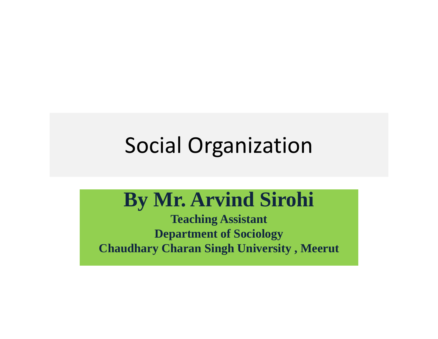# Social Organization

#### **By Mr. Arvind Sirohi**

**Teaching Assistant Department of Sociology Chaudhary Charan Singh University , Meerut**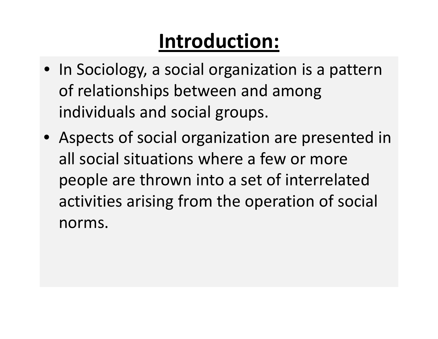# **Introduction:**

- In Sociology, <sup>a</sup> social organization is <sup>a</sup> pattern of relationships between and among individuals and social groups.
- Aspects of social organization are presented in all social situations where <sup>a</sup> few or more people are thrown into <sup>a</sup> set of interrelated activities arising from the operation of social norms.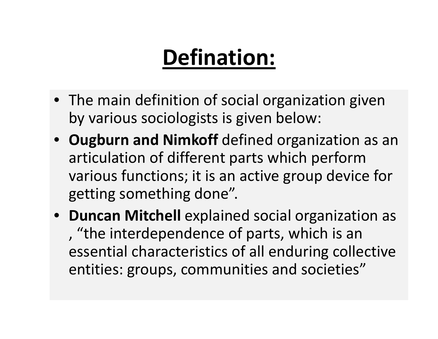# **Defination:**

- The main definition of social organization given by various sociologists is given below:
- **Ougburn and Nimkoff** defined organization as an articulation of different parts which perform various functions; it is an active group device for getting something done".
- **Duncan Mitchell** explained social organization as , "the interdependence of parts, which is an essential characteristics of all enduring collective entities: groups, communities and societies"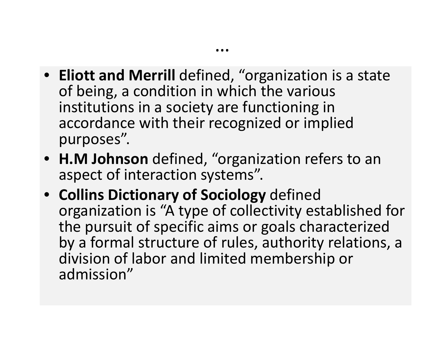• **Eliott and Merrill** defined, "organization is a state of being, a condition in which the various institutions in a society are functioning in accordance with their recognized or implied purposes".

…

- **H.M Johnson** defined, "organization refers to an aspect of interaction systems".
- **Collins Dictionary of Sociology** defined organization is "A type of collectivity established for the pursuit of specific aims or goals characterized by a formal structure of rules, authority relations, a division of labor and limited membership or admission"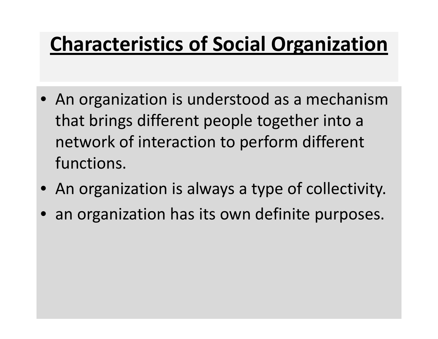### **Characteristics of Social Organization**

- An organization is understood as <sup>a</sup> mechanism that brings different people together into <sup>a</sup> network of interaction to perform different functions.
- An organization is always <sup>a</sup> type of collectivity.
- an organization has its own definite purposes.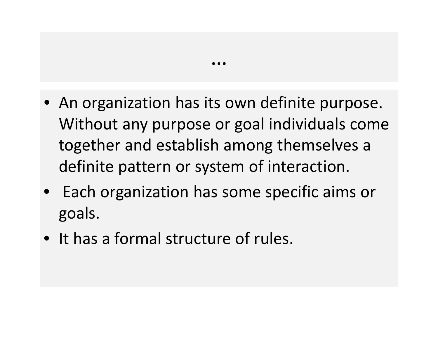• An organization has its own definite purpose. Without any purpose or goal individuals come together and establish among themselves <sup>a</sup> definite pattern or system of interaction.

…

- $\bullet$ **•** Each organization has some specific aims or goals.
- It has a formal structure of rules.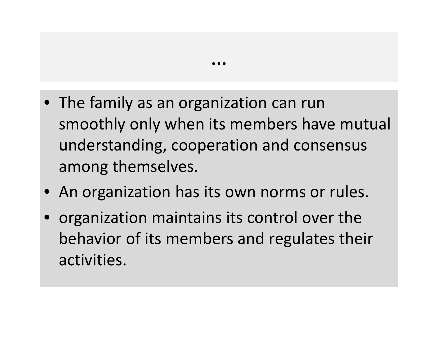• The family as an organization can run smoothly only when its members have mutual understanding, cooperation and consensus among themselves.

…

- An organization has its own norms or rules.
- $\bullet$  organization maintains its control over the behavior of its members and regulates their activities.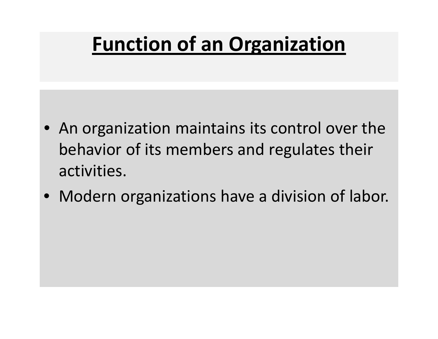### **Function of an Organization**

- An organization maintains its control over the behavior of its members and regulates their activities.
- Modern organizations have <sup>a</sup> division of labor.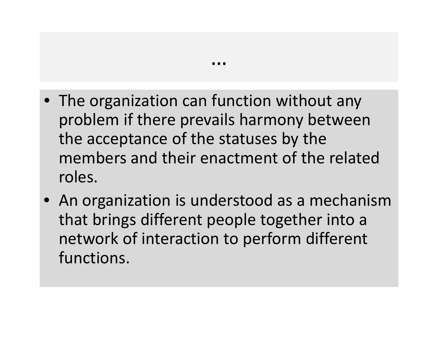• The organization can function without any problem if there prevails harmony between the acceptance of the statuses by the members and their enactment of the related roles.

…

• An organization is understood as <sup>a</sup> mechanism that brings different people together into <sup>a</sup> network of interaction to perform different functions.